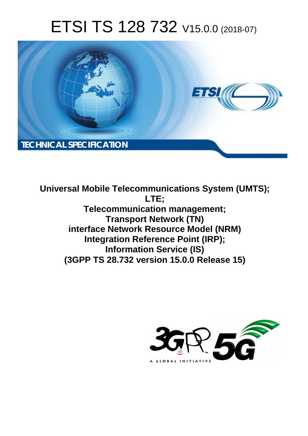# ETSI TS 128 732 V15.0.0 (2018-07)



**Universal Mobile Telecommunications System (UMTS); LTE; Telecommunication management; Transport Network (TN) interface Network Resource Model (NRM) Integration Reference Point (IRP); Information Service (IS) (3GPP TS 28.732 version 15.0.0 Release 15)** 

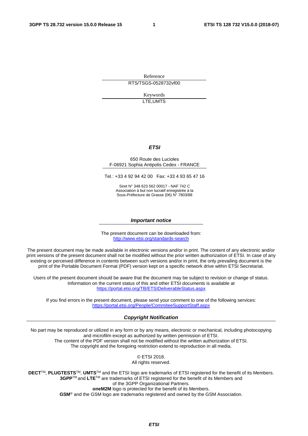Reference RTS/TSGS-0528732vf00

> Keywords LTE,UMTS

#### *ETSI*

#### 650 Route des Lucioles F-06921 Sophia Antipolis Cedex - FRANCE

Tel.: +33 4 92 94 42 00 Fax: +33 4 93 65 47 16

Siret N° 348 623 562 00017 - NAF 742 C Association à but non lucratif enregistrée à la Sous-Préfecture de Grasse (06) N° 7803/88

#### *Important notice*

The present document can be downloaded from: <http://www.etsi.org/standards-search>

The present document may be made available in electronic versions and/or in print. The content of any electronic and/or print versions of the present document shall not be modified without the prior written authorization of ETSI. In case of any existing or perceived difference in contents between such versions and/or in print, the only prevailing document is the print of the Portable Document Format (PDF) version kept on a specific network drive within ETSI Secretariat.

Users of the present document should be aware that the document may be subject to revision or change of status. Information on the current status of this and other ETSI documents is available at <https://portal.etsi.org/TB/ETSIDeliverableStatus.aspx>

If you find errors in the present document, please send your comment to one of the following services: <https://portal.etsi.org/People/CommiteeSupportStaff.aspx>

#### *Copyright Notification*

No part may be reproduced or utilized in any form or by any means, electronic or mechanical, including photocopying and microfilm except as authorized by written permission of ETSI. The content of the PDF version shall not be modified without the written authorization of ETSI. The copyright and the foregoing restriction extend to reproduction in all media.

> © ETSI 2018. All rights reserved.

**DECT**TM, **PLUGTESTS**TM, **UMTS**TM and the ETSI logo are trademarks of ETSI registered for the benefit of its Members. **3GPP**TM and **LTE**TM are trademarks of ETSI registered for the benefit of its Members and of the 3GPP Organizational Partners. **oneM2M** logo is protected for the benefit of its Members.

**GSM**® and the GSM logo are trademarks registered and owned by the GSM Association.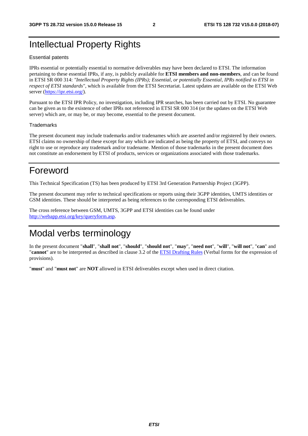### Intellectual Property Rights

#### Essential patents

IPRs essential or potentially essential to normative deliverables may have been declared to ETSI. The information pertaining to these essential IPRs, if any, is publicly available for **ETSI members and non-members**, and can be found in ETSI SR 000 314: *"Intellectual Property Rights (IPRs); Essential, or potentially Essential, IPRs notified to ETSI in respect of ETSI standards"*, which is available from the ETSI Secretariat. Latest updates are available on the ETSI Web server ([https://ipr.etsi.org/\)](https://ipr.etsi.org/).

Pursuant to the ETSI IPR Policy, no investigation, including IPR searches, has been carried out by ETSI. No guarantee can be given as to the existence of other IPRs not referenced in ETSI SR 000 314 (or the updates on the ETSI Web server) which are, or may be, or may become, essential to the present document.

#### **Trademarks**

The present document may include trademarks and/or tradenames which are asserted and/or registered by their owners. ETSI claims no ownership of these except for any which are indicated as being the property of ETSI, and conveys no right to use or reproduce any trademark and/or tradename. Mention of those trademarks in the present document does not constitute an endorsement by ETSI of products, services or organizations associated with those trademarks.

### Foreword

This Technical Specification (TS) has been produced by ETSI 3rd Generation Partnership Project (3GPP).

The present document may refer to technical specifications or reports using their 3GPP identities, UMTS identities or GSM identities. These should be interpreted as being references to the corresponding ETSI deliverables.

The cross reference between GSM, UMTS, 3GPP and ETSI identities can be found under [http://webapp.etsi.org/key/queryform.asp.](http://webapp.etsi.org/key/queryform.asp)

### Modal verbs terminology

In the present document "**shall**", "**shall not**", "**should**", "**should not**", "**may**", "**need not**", "**will**", "**will not**", "**can**" and "**cannot**" are to be interpreted as described in clause 3.2 of the [ETSI Drafting Rules](https://portal.etsi.org/Services/editHelp!/Howtostart/ETSIDraftingRules.aspx) (Verbal forms for the expression of provisions).

"**must**" and "**must not**" are **NOT** allowed in ETSI deliverables except when used in direct citation.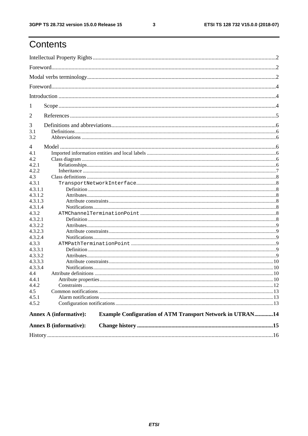ETSI TS 128 732 V15.0.0 (2018-07)

### Contents

|                    | <b>Annex B (informative):</b>                                                                     |  |
|--------------------|---------------------------------------------------------------------------------------------------|--|
|                    | <b>Example Configuration of ATM Transport Network in UTRAN14</b><br><b>Annex A (informative):</b> |  |
| 4.5.2              |                                                                                                   |  |
| 4.5.1              |                                                                                                   |  |
| 4.5                |                                                                                                   |  |
| 4.4.2              |                                                                                                   |  |
| 4.4.1              |                                                                                                   |  |
| 4.4                |                                                                                                   |  |
| 4.3.3.4            |                                                                                                   |  |
| 4.3.3.3            |                                                                                                   |  |
| 4.3.3.1<br>4.3.3.2 |                                                                                                   |  |
| 4.3.3              |                                                                                                   |  |
| 4.3.2.4            |                                                                                                   |  |
| 4.3.2.3            |                                                                                                   |  |
| 4.3.2.2            |                                                                                                   |  |
| 4.3.2.1            |                                                                                                   |  |
| 4.3.2              |                                                                                                   |  |
| 4.3.1.4            |                                                                                                   |  |
| 4.3.1.3            |                                                                                                   |  |
| 4.3.1.2            |                                                                                                   |  |
| 4.3.1.1            |                                                                                                   |  |
| 4.3.1              |                                                                                                   |  |
| 4.3                |                                                                                                   |  |
| 4.2.1<br>4.2.2     |                                                                                                   |  |
| 4.2                |                                                                                                   |  |
| 4.1                |                                                                                                   |  |
| 4                  |                                                                                                   |  |
|                    |                                                                                                   |  |
| 3.2                |                                                                                                   |  |
| 3.1                |                                                                                                   |  |
| 3                  |                                                                                                   |  |
| 2                  |                                                                                                   |  |
| 1                  |                                                                                                   |  |
|                    |                                                                                                   |  |
|                    |                                                                                                   |  |
|                    |                                                                                                   |  |
|                    |                                                                                                   |  |
|                    |                                                                                                   |  |
|                    |                                                                                                   |  |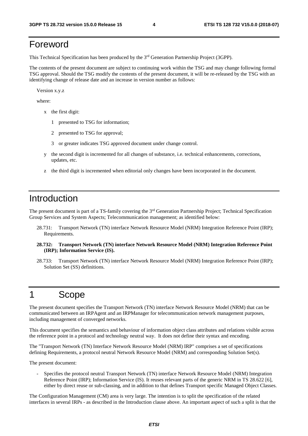### Foreword

This Technical Specification has been produced by the 3rd Generation Partnership Project (3GPP).

The contents of the present document are subject to continuing work within the TSG and may change following formal TSG approval. Should the TSG modify the contents of the present document, it will be re-released by the TSG with an identifying change of release date and an increase in version number as follows:

Version x.y.z

where:

- x the first digit:
	- 1 presented to TSG for information;
	- 2 presented to TSG for approval;
	- 3 or greater indicates TSG approved document under change control.
- y the second digit is incremented for all changes of substance, i.e. technical enhancements, corrections, updates, etc.
- z the third digit is incremented when editorial only changes have been incorporated in the document.

### Introduction

The present document is part of a TS-family covering the 3rd Generation Partnership Project; Technical Specification Group Services and System Aspects; Telecommunication management; as identified below:

- 28.731: Transport Network (TN) interface Network Resource Model (NRM) Integration Reference Point (IRP); Requirements.
- **28.732: Transport Network (TN) interface Network Resource Model (NRM) Integration Reference Point (IRP); Information Service (IS).**
- 28.733: Transport Network (TN) interface Network Resource Model (NRM) Integration Reference Point (IRP); Solution Set (SS) definitions.

### 1 Scope

The present document specifies the Transport Network (TN) interface Network Resource Model (NRM) that can be communicated between an IRPAgent and an IRPManager for telecommunication network management purposes, including management of converged networks.

This document specifies the semantics and behaviour of information object class attributes and relations visible across the reference point in a protocol and technology neutral way. It does not define their syntax and encoding.

The "Transport Network (TN) Interface Network Resource Model (NRM) IRP" comprises a set of specifications defining Requirements, a protocol neutral Network Resource Model (NRM) and corresponding Solution Set(s).

The present document:

- Specifies the protocol neutral Transport Network (TN) interface Network Resource Model (NRM) Integration Reference Point (IRP); Information Service (IS). It reuses relevant parts of the generic NRM in TS 28.622 [6], either by direct reuse or sub-classing, and in addition to that defines Transport specific Managed Object Classes.

The Configuration Management (CM) area is very large. The intention is to split the specification of the related interfaces in several IRPs - as described in the Introduction clause above. An important aspect of such a split is that the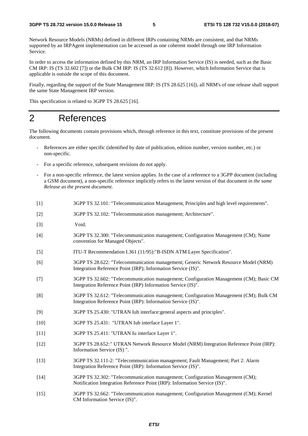Network Resource Models (NRMs) defined in different IRPs containing NRMs are consistent, and that NRMs supported by an IRPAgent implementation can be accessed as one coherent model through one IRP Information Service.

In order to access the information defined by this NRM, an IRP Information Service (IS) is needed, such as the Basic CM IRP: IS (TS 32.602 [7]) or the Bulk CM IRP: IS (TS 32.612 [8]). However, which Information Service that is applicable is outside the scope of this document.

Finally, regarding the support of the State Management IRP: IS (TS 28.625 [16]), all NRM's of one release shall support the same State Management IRP version.

This specification is related to 3GPP TS 28.625 [16].

### 2 References

The following documents contain provisions which, through reference in this text, constitute provisions of the present document.

- References are either specific (identified by date of publication, edition number, version number, etc.) or non-specific.
- For a specific reference, subsequent revisions do not apply.
- For a non-specific reference, the latest version applies. In the case of a reference to a 3GPP document (including a GSM document), a non-specific reference implicitly refers to the latest version of that document *in the same Release as the present document*.
- [1] 3GPP TS 32.101: "Telecommunication Management, Principles and high level requirements".
- [2] 3GPP TS 32.102: "Telecommunication management; Architecture".
- [3] Void.
- [4] 3GPP TS 32.300: "Telecommunication management; Configuration Management (CM); Name convention for Managed Objects".
- [5] ITU-T Recommendation I.361 (11/95):"B-ISDN ATM Layer Specification".
- [6] 3GPP TS 28.622: "Telecommunication management; Generic Network Resource Model (NRM) Integration Reference Point (IRP); Information Service (IS)".
- [7] 3GPP TS 32.602: "Telecommunication management; Configuration Management (CM); Basic CM Integration Reference Point (IRP) Information Service (IS)".
- [8] 3GPP TS 32.612: "Telecommunication management; Configuration Management (CM); Bulk CM Integration Reference Point (IRP): Information Service (IS)".
- [9] 3GPP TS 25.430: "UTRAN Iub interface:general aspects and principles".
- [10] 3GPP TS 25.431: "UTRAN Iub interface Layer 1".
- [11] 3GPP TS 25.411: "UTRAN Iu interface Layer 1".
- [12] 3GPP TS 28.652: " UTRAN Network Resource Model (NRM) Integration Reference Point (IRP): Information Service (IS) ".
- [13] 3GPP TS 32.111-2: "Telecommunication management; Fault Management; Part 2: Alarm Integration Reference Point (IRP): Information Service (IS)".
- [14] 3GPP TS 32.302: "Telecommunication management; Configuration Management (CM); Notification Integration Reference Point (IRP): Information Service (IS)".
- [15] 3GPP TS 32.662: "Telecommunication management; Configuration Management (CM); Kernel CM Information Service (IS)".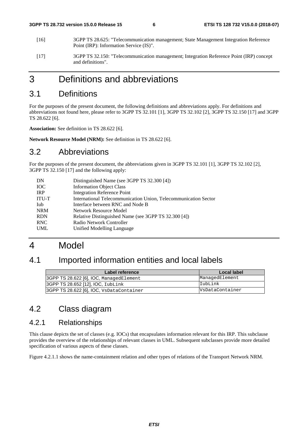- [16] 3GPP TS 28.625: "Telecommunication management; State Management Integration Reference Point (IRP): Information Service (IS)".
- [17] 3GPP TS 32.150: "Telecommunication management; Integration Reference Point (IRP) concept and definitions".

### 3 Definitions and abbreviations

### 3.1 Definitions

For the purposes of the present document, the following definitions and abbreviations apply. For definitions and abbreviations not found here, please refer to 3GPP TS 32.101 [1], 3GPP TS 32.102 [2], 3GPP TS 32.150 [17] and 3GPP TS 28.622 [6].

**Association:** See definition in TS 28.622 [6].

**Network Resource Model (NRM):** See definition in TS 28.622 [6].

#### 3.2 Abbreviations

For the purposes of the present document, the abbreviations given in 3GPP TS 32.101 [1], 3GPP TS 32.102 [2], 3GPP TS 32.150 [17] and the following apply:

| DN           | Distinguished Name (see 3GPP TS 32.300 [4])                     |
|--------------|-----------------------------------------------------------------|
| <b>IOC</b>   | <b>Information Object Class</b>                                 |
| <b>IRP</b>   | <b>Integration Reference Point</b>                              |
| <b>ITU-T</b> | International Telecommunication Union, Telecommunication Sector |
| Iub          | Interface between RNC and Node B                                |
| <b>NRM</b>   | Network Resource Model                                          |
| <b>RDN</b>   | Relative Distinguished Name (see 3GPP TS 32.300 [4])            |
| <b>RNC</b>   | Radio Network Controller                                        |
| <b>UML</b>   | Unified Modelling Language                                      |
|              |                                                                 |

### 4 Model

### 4.1 Imported information entities and local labels

| Label reference                          | Local label     |
|------------------------------------------|-----------------|
| 3GPP TS 28.622 [6], IOC, ManagedElement  | ManagedElement  |
| 3GPP TS 28.652 [12], IOC, IubLink        | IubLink         |
| 3GPP TS 28.622 [6], IOC, VsDataContainer | VsDataContainer |

### 4.2 Class diagram

#### 4.2.1 Relationships

This clause depicts the set of classes (e.g. IOCs) that encapsulates information relevant for this IRP. This subclause provides the overview of the relationships of relevant classes in UML. Subsequent subclasses provide more detailed specification of various aspects of these classes.

Figure 4.2.1.1 shows the name-containment relation and other types of relations of the Transport Network NRM.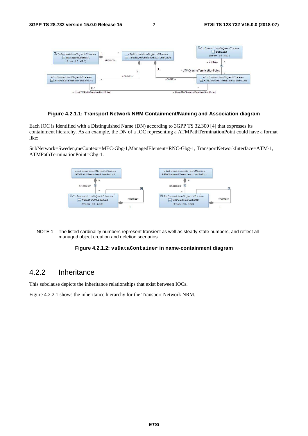

#### **Figure 4.2.1.1: Transport Network NRM Containment/Naming and Association diagram**

Each IOC is identified with a Distinguished Name (DN) according to 3GPP TS 32.300 [4] that expresses its containment hierarchy. As an example, the DN of a IOC representing a ATMPathTerminationPoint could have a format like:

SubNetwork=Sweden,meContext=MEC-Gbg-1,ManagedElement=RNC-Gbg-1, TransportNetworkInterface=ATM-1, ATMPathTerminationPoint=Gbg-1.



NOTE 1: The listed cardinality numbers represent transient as well as steady-state numbers, and reflect all managed object creation and deletion scenarios.

#### **Figure 4.2.1.2: vsDataContainer in name-containment diagram**

#### 4.2.2 Inheritance

This subclause depicts the inheritance relationships that exist between IOCs.

Figure 4.2.2.1 shows the inheritance hierarchy for the Transport Network NRM.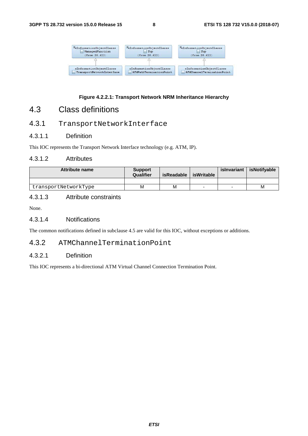

#### **Figure 4.2.2.1: Transport Network NRM Inheritance Hierarchy**

### 4.3 Class definitions

#### 4.3.1 TransportNetworkInterface

#### 4.3.1.1 Definition

This IOC represents the Transport Network Interface technology (e.g. ATM, IP).

#### 4.3.1.2 Attributes

| <b>Attribute name</b> | <b>Support</b><br>Qualifier | isReadable | isWritable               | islnvariant | isNotifvable |
|-----------------------|-----------------------------|------------|--------------------------|-------------|--------------|
|                       |                             |            |                          |             |              |
| transportNetworkType  | M                           | М          | $\overline{\phantom{0}}$ |             | M            |

#### 4.3.1.3 Attribute constraints

None.

#### 4.3.1.4 Notifications

The common notifications defined in subclause 4.5 are valid for this IOC, without exceptions or additions.

#### 4.3.2 ATMChannelTerminationPoint

#### 4.3.2.1 Definition

This IOC represents a bi-directional ATM Virtual Channel Connection Termination Point.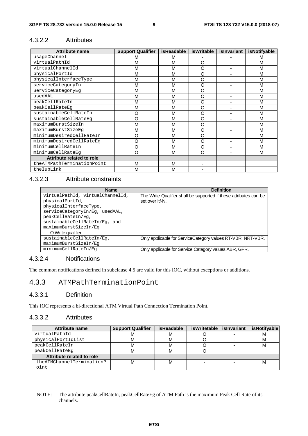#### 4.3.2.2 Attributes

| <b>Attribute name</b>      | <b>Support Qualifier</b> | <b>isReadable</b> | <b>isWritable</b> | islnvariant    | isNotifyable |
|----------------------------|--------------------------|-------------------|-------------------|----------------|--------------|
| usageChannel               | М                        | м                 |                   |                | м            |
| virtualPathId              | М                        | M                 | O                 | ٠              | м            |
| virtualChannelId           | M                        | M                 | O                 | ٠              | м            |
| physicalPortId             | M                        | M                 | O                 |                | M            |
| physicalInterfaceType      | M                        | M                 | O                 |                | M            |
| serviceCategoryIn          | M                        | M                 | O                 | ٠              | м            |
| ServiceCategoryEq          | M                        | M                 | O                 |                | M            |
| usedAAL                    | M                        | M                 | O                 |                | M            |
| peakCellRateIn             | M                        | M                 | O                 | ٠              | M            |
| peakCellRateEq             | M                        | M                 | O                 |                | M            |
| sustainableCellRateIn      | O                        | M                 | O                 | ٠              | M            |
| sustainableCellRateEq      | O                        | M                 | O                 | $\blacksquare$ | M            |
| maximumBurstSizeIn         | M                        | M                 | O                 | ٠              | M            |
| maximumBurstSizeEq         | M                        | M                 | O                 | $\blacksquare$ | M            |
| minimumDesiredCellRateIn   | O                        | M                 | O                 |                | M            |
| minimumDesiredCellRateEq   | O                        | M                 | O                 | ۰              | M            |
| minimumCellRateIn          | O                        | M                 | O                 |                | M            |
| minimumCellRateEq          | O                        | M                 | O                 |                | M            |
| Attribute related to role  |                          |                   |                   |                |              |
| theATMPathTerminationPoint | M                        | M                 |                   |                |              |
| theIubLink                 | M                        | M                 |                   |                |              |

#### 4.3.2.3 Attribute constraints

| <b>Name</b>                      | <b>Definition</b>                                                 |
|----------------------------------|-------------------------------------------------------------------|
| virtualPathId, virtualChannelId, | The Write Qualifier shall be supported if these attributes can be |
| physicalPortId,                  | set over Itf-N.                                                   |
| physicalInterfaceType,           |                                                                   |
| serviceCategoryIn/Eq, usedAAL,   |                                                                   |
| peakCellRateIn/Eq,               |                                                                   |
| sustainableCellRateIn/Eq, and    |                                                                   |
| maximumBurstSizeIn/Eq            |                                                                   |
| O Write qualifier                |                                                                   |
| sustainableCellRateIn/Eq.        | Only applicable for ServiceCategory values RT-VBR, NRT-VBR.       |
| maximumBurstSizeIn/Eq            |                                                                   |
| minimumCellRateIn/Eq             | Only applicable for Service Category values ABR, GFR.             |

#### 4.3.2.4 Notifications

The common notifications defined in subclause 4.5 are valid for this IOC, without exceptions or additions.

#### 4.3.3 ATMPathTerminationPoint

#### 4.3.3.1 Definition

This IOC represents a bi-directional ATM Virtual Path Connection Termination Point.

#### 4.3.3.2 Attributes

| <b>Attribute name</b>     | <b>Support Qualifier</b> | <i>isReadable</i> | <b>isWritetable</b> | islnvariant | <i>isNotifyable</i> |
|---------------------------|--------------------------|-------------------|---------------------|-------------|---------------------|
| virtualPathId             | M                        | м                 |                     |             | м                   |
| physicalPortIdList        | м                        | м                 |                     |             | М                   |
| peakCellRateIn            | м                        | М                 |                     |             | М                   |
| peakCellRateEq            | м                        | м                 |                     |             |                     |
| Attribute related to role |                          |                   |                     |             |                     |
| theATMChannelTerminationP | М                        | м                 |                     |             | м                   |
| oint                      |                          |                   |                     |             |                     |

#### NOTE: The attribute peakCellRateIn, peakCellRateEg of ATM Path is the maximum Peak Cell Rate of its channels.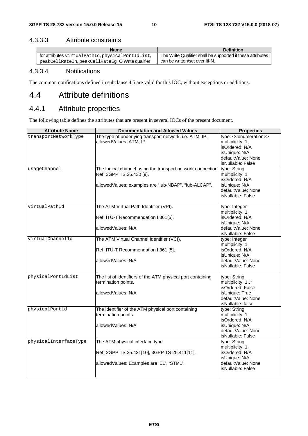#### 4.3.3.3 Attribute constraints

| <b>Name</b>                                       | <b>Definition</b>                                          |
|---------------------------------------------------|------------------------------------------------------------|
| for attributes virtualPathId, physicalPortIdList, | The Write Qualifier shall be supported if these attributes |
| peakCellRateIn, peakCellRateEq O Write qualifier  | can be written/set over Itf-N.                             |

#### 4.3.3.4 Notifications

The common notifications defined in subclause 4.5 are valid for this IOC, without exceptions or additions.

### 4.4 Attribute definitions

### 4.4.1 Attribute properties

The following table defines the attributes that are present in several IOCs of the present document.

| <b>Attribute Name</b> | <b>Documentation and Allowed Values</b>                                                                                                         | <b>Properties</b>                                                                                                       |
|-----------------------|-------------------------------------------------------------------------------------------------------------------------------------------------|-------------------------------------------------------------------------------------------------------------------------|
| transportNetworkType  | The type of underlying transport network, i.e. ATM, IP.<br>allowedValues: ATM, IP                                                               | type: << enumeration>><br>multiplicity: 1<br>isOrdered: N/A<br>isUnique: N/A<br>defaultValue: None<br>isNullable: False |
| usageChannel          | The logical channel using the transport network connection.<br>Ref. 3GPP TS 25.430 [9].<br>allowedValues: examples are "lub-NBAP", "lub-ALCAP". | type: String<br>multiplicity: 1<br>isOrdered: N/A<br>isUnique: N/A<br>defaultValue: None<br>isNullable: False           |
| virtualPathId         | The ATM Virtual Path Identifier (VPI).<br>Ref. ITU-T Recommendation I.361[5].<br>allowedValues: N/A                                             | type: Integer<br>multiplicity: 1<br>isOrdered: N/A<br>isUnique: N/A<br>defaultValue: None<br>isNullable: False          |
| virtualChannelId      | The ATM Virtual Channel Identifier (VCI).<br>Ref. ITU-T Recommendation I.361 [5].<br>allowedValues: N/A                                         | type: Integer<br>multiplicity: 1<br>isOrdered: N/A<br>isUnique: N/A<br>defaultValue: None<br>isNullable: False          |
| physicalPortIdList    | The list of identifiers of the ATM physical port containing<br>termination points.<br>allowedValues: N/A                                        | type: String<br>multiplicity: 1*<br>isOrdered: False<br>isUnique: True<br>defaultValue: None<br>isNullable: false       |
| physicalPortid        | The identifier of the ATM physical port containing<br>termination points.<br>allowedValues: N/A                                                 | type: String<br>multiplicity: 1<br>isOrdered: N/A<br>isUnique: N/A<br>defaultValue: None<br>isNullable: False           |
| physicalInterfaceType | The ATM physical interface type.<br>Ref. 3GPP TS 25.431[10], 3GPP TS 25.411[11].<br>allowedValues: Examples are 'E1', 'STM1'.                   | type: String<br>multiplicity: 1<br>isOrdered: N/A<br>isUnique: N/A<br>defaultValue: None<br>isNullable: False           |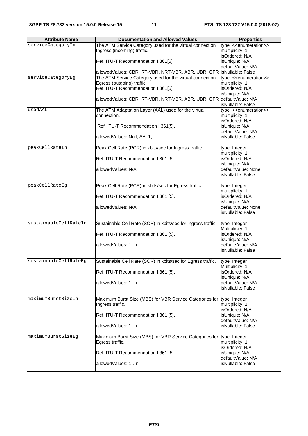| <b>Attribute Name</b> | <b>Documentation and Allowed Values</b>                               | <b>Properties</b>                       |
|-----------------------|-----------------------------------------------------------------------|-----------------------------------------|
| serviceCategoryIn     | The ATM Service Category used for the virtual connection              | type: << enumeration>>                  |
|                       | Ingress (incoming) traffic.                                           | multiplicity: 1                         |
|                       |                                                                       | isOrdered: N/A                          |
|                       | Ref. ITU-T Recommendation I.361[5].                                   | isUnique: N/A                           |
|                       |                                                                       | defaultValue: N/A                       |
|                       | allowedValues: CBR, RT-VBR, NRT-VBR, ABR, UBR, GFR isNullable: False  |                                         |
| serviceCategoryEg     | The ATM Service Category used for the virtual connection              | type: < <enumeration>&gt;</enumeration> |
|                       | Egress (outgoing) traffic.                                            | multiplicity: 1                         |
|                       | Ref. ITU-T Recommendation I.361[5]                                    | isOrdered: N/A                          |
|                       |                                                                       | isUnique: N/A                           |
|                       | allowedValues: CBR, RT-VBR, NRT-VBR, ABR, UBR, GFR defaultValue: N/A  |                                         |
|                       |                                                                       | isNullable: False                       |
| usedAAL               | The ATM Adaptation Layer (AAL) used for the virtual                   | type: << enumeration>>                  |
|                       | connection.                                                           | multiplicity: 1                         |
|                       |                                                                       | isOrdered: N/A                          |
|                       | Ref. ITU-T Recommendation I.361[5].                                   | isUnique: N/A                           |
|                       |                                                                       | defaultValue: N/A                       |
|                       | allowedValues: Null, AAL1,                                            | isNullable: False                       |
| peakCellRateIn        | Peak Cell Rate (PCR) in kbits/sec for Ingress traffic.                | type: Integer                           |
|                       |                                                                       | multiplicity: 1                         |
|                       | Ref. ITU-T Recommendation I.361 [5].                                  | isOrdered: N/A                          |
|                       |                                                                       | isUnique: N/A                           |
|                       | allowedValues: N/A                                                    | defaultValue: None                      |
|                       |                                                                       | isNullable: False                       |
|                       |                                                                       |                                         |
| peakCellRateEg        | Peak Cell Rate (PCR) in kbits/sec for Egress traffic.                 | type: Integer                           |
|                       |                                                                       | multiplicity: 1                         |
|                       | Ref. ITU-T Recommendation I.361 [5].                                  | isOrdered: N/A                          |
|                       | allowedValues: N/A                                                    | isUnique: N/A<br>defaultValue: None     |
|                       |                                                                       | isNullable: False                       |
|                       |                                                                       |                                         |
| sustainableCellRateIn | Sustainable Cell Rate (SCR) in kbits/sec for Ingress traffic.         | type: Integer                           |
|                       |                                                                       | Multiplicity: 1                         |
|                       | Ref. ITU-T Recommendation I.361 [5].                                  | isOrdered: N/A                          |
|                       |                                                                       | isUnique: N/A                           |
|                       | allowedValues: 1n                                                     | defaultValue: N/A                       |
|                       |                                                                       | isNullable: False                       |
| sustainableCellRateEq | Sustainable Cell Rate (SCR) in kbits/sec for Egress traffic.          | type: Integer                           |
|                       |                                                                       | Multiplicity: 1                         |
|                       | Ref. ITU-T Recommendation I.361 [5].                                  | isOrdered: N/A                          |
|                       |                                                                       | isUnique: N/A                           |
|                       | allowedValues: 1n                                                     | defaultValue: N/A                       |
|                       |                                                                       | isNullable: False                       |
|                       |                                                                       |                                         |
| maximumBurstSizeIn    | Maximum Burst Size (MBS) for VBR Service Categories for type: Integer |                                         |
|                       | Ingress traffic.                                                      | multiplicity: 1                         |
|                       | Ref. ITU-T Recommendation I.361 [5].                                  | isOrdered: N/A                          |
|                       |                                                                       | isUnique: N/A<br>defaultValue: N/A      |
|                       | allowedValues: 1n                                                     | isNullable: False                       |
|                       |                                                                       |                                         |
| maximumBurstSizeEq    | Maximum Burst Size (MBS) for VBR Service Categories for type: Integer |                                         |
|                       | Egress traffic.                                                       | multiplicity: 1                         |
|                       |                                                                       | isOrdered: N/A                          |
|                       | Ref. ITU-T Recommendation I.361 [5].                                  | isUnique: N/A                           |
|                       |                                                                       | defaultValue: N/A                       |
|                       | allowedValues: 1n                                                     | isNullable: False                       |
|                       |                                                                       |                                         |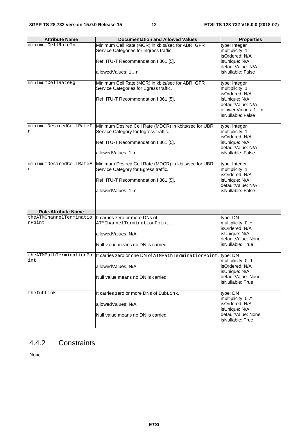| <b>Attribute Name</b>      | <b>Documentation and Allowed Values</b>                        | <b>Properties</b>                       |
|----------------------------|----------------------------------------------------------------|-----------------------------------------|
| minimumCellRateIn          | Minimum Cell Rate (MCR) in kbits/sec for ABR, GFR              | type: Integer                           |
|                            | Service Categories for Ingress traffic.                        | multiplicity: 1                         |
|                            |                                                                | isOrdered: N/A                          |
|                            | Ref. ITU-T Recommendation I.361 [5].                           | isUnique: N/A                           |
|                            |                                                                | defaultValue: N/A                       |
|                            | allowedValues: 1n                                              | isNullable: False                       |
|                            |                                                                |                                         |
| minimumCellRateEg          | Minimum Cell Rate (MCR) in kbits/sec for ABR, GFR              | type: Integer                           |
|                            | Service Categories for Egress traffic.                         | multiplicity: 1                         |
|                            |                                                                | isOrdered: N/A                          |
|                            | Ref. ITU-T Recommendation I.361 [5].                           | isUnique: N/A                           |
|                            |                                                                | defaultValue: N/A                       |
|                            |                                                                | allowedValues: 1n                       |
|                            |                                                                | isNullable: False                       |
|                            |                                                                |                                         |
| minimumDesiredCellRateI    | Minimum Desired Cell Rate (MDCR) in kbits/sec for UBR          | type: Integer                           |
| n                          | Service Category for Ingress traffic.                          | multiplicity: 1                         |
|                            |                                                                | isOrdered: N/A                          |
|                            | Ref. ITU-T Recommendation I.361 [5].                           | isUnique: N/A                           |
|                            | allowedValues: 1n                                              | defaultValue: N/A<br>isNullable: False  |
|                            |                                                                |                                         |
| minimumDesiredCellRateE    | Minimum Desired Cell Rate (MDCR) in kbits/sec for UBR          | type: Integer                           |
| g                          | Service Category for Egress traffic.                           | multiplicity: 1                         |
|                            |                                                                | isOrdered: N/A                          |
|                            | Ref. ITU-T Recommendation I.361 [5].                           | isUnique: N/A                           |
|                            |                                                                | defaultValue: N/A                       |
|                            | allowedValues: 1n                                              | isNullable: False                       |
|                            |                                                                |                                         |
|                            |                                                                |                                         |
| <b>Role-Attribute Name</b> |                                                                |                                         |
| theATMChannelTerminatio    | It carries zero or more DNs of                                 | type: DN                                |
| nPoint                     | ATMChannelTerminationPoint.                                    | multiplicity: 0*                        |
|                            |                                                                | isOrdered: N/A                          |
|                            | allowedValues: N/A                                             | isUnique: N/A                           |
|                            |                                                                | defaultValue: None                      |
|                            | Null value means no DN is carried.                             | isNullable: True                        |
|                            |                                                                |                                         |
| theATMPathTerminationPo    | It carries zero or one DN of ATMPathTerminationPoint. type: DN |                                         |
| int                        |                                                                | multiplicity: 01                        |
|                            | allowedValues: N/A                                             | lisOrdered: N/A                         |
|                            |                                                                | isUnique: N/A                           |
|                            | Null value means no DN is carried.                             | defaultValue: None                      |
|                            |                                                                | lisNullable: True                       |
|                            |                                                                |                                         |
| theIubLink                 | It carries zero or more DNs of IubLink.                        | type: DN                                |
|                            |                                                                | multiplicity: 0*                        |
|                            | allowedValues: N/A                                             | isOrdered: N/A                          |
|                            |                                                                | isUnique: N/A                           |
|                            | Null value means no DN is carried.                             | defaultValue: None<br>lisNullable: True |
|                            |                                                                |                                         |
|                            |                                                                |                                         |

### 4.4.2 Constraints

None.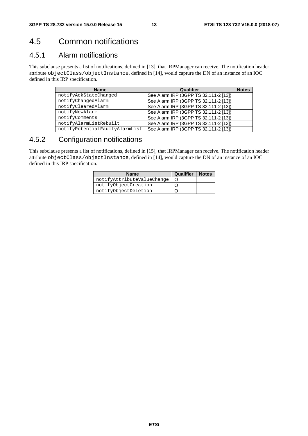### 4.5 Common notifications

#### 4.5.1 Alarm notifications

This subclause presents a list of notifications, defined in [13], that IRPManager can receive. The notification header attribute objectClass/objectInstance, defined in [14], would capture the DN of an instance of an IOC defined in this IRP specification.

| <b>Name</b>                    | Qualifier                             | <b>Notes</b> |
|--------------------------------|---------------------------------------|--------------|
| notifyAckStateChanged          | See Alarm IRP (3GPP TS 32.111-2 [13]) |              |
| notifyChangedAlarm             | See Alarm IRP (3GPP TS 32.111-2 [13]) |              |
| notifyClearedAlarm             | See Alarm IRP (3GPP TS 32.111-2 [13]) |              |
| notifyNewAlarm                 | See Alarm IRP (3GPP TS 32.111-2 [13]) |              |
| notifyComments                 | See Alarm IRP (3GPP TS 32.111-2 [13]) |              |
| notifyAlarmListRebuilt         | See Alarm IRP (3GPP TS 32.111-2 [13]) |              |
| notifyPotentialFaultyAlarmList | See Alarm IRP (3GPP TS 32.111-2 [13]) |              |

#### 4.5.2 Configuration notifications

This subclause presents a list of notifications, defined in [15], that IRPManager can receive. The notification header attribute objectClass/objectInstance, defined in [14], would capture the DN of an instance of an IOC defined in this IRP specification.

| <b>Name</b>                | Qualifier | <b>Notes</b> |
|----------------------------|-----------|--------------|
| notifyAttributeValueChange |           |              |
| notifyObjectCreation       |           |              |
| notifyObjectDeletion       |           |              |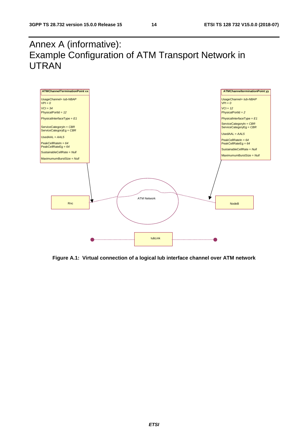### Annex A (informative): Example Configuration of ATM Transport Network in UTRAN



**Figure A.1: Virtual connection of a logical Iub interface channel over ATM network**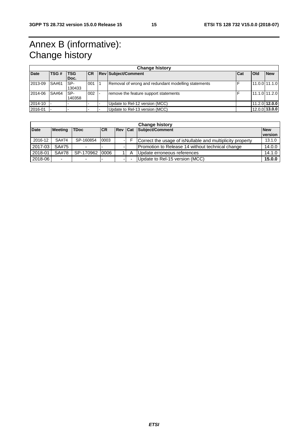### Annex B (informative): Change history

| <b>Change history</b> |       |               |           |  |                                                     |            |                 |                 |  |
|-----------------------|-------|---------------|-----------|--|-----------------------------------------------------|------------|-----------------|-----------------|--|
| <b>Date</b>           | TSG#  | <b>TSG</b>    | <b>CR</b> |  | <b>Rev Subject/Comment</b>                          | <b>Cat</b> | <b>Old</b>      | <b>New</b>      |  |
|                       |       | Doc.          |           |  |                                                     |            |                 |                 |  |
| 2013-09               | SA#61 | SP-<br>130433 | 001       |  | Removal of wrong and redundant modelling statements |            | $11.0.0$ 11.1.0 |                 |  |
| 2014-06               | SA#64 | SP-<br>140358 | 002       |  | remove the feature support statements               |            | 11.1.0 11.2.0   |                 |  |
| 2014-10               |       |               |           |  | Update to Rel-12 version (MCC)                      |            |                 | 11.2.0 12.0.0   |  |
| 2016-01               |       |               |           |  | Update to Rel-13 version (MCC)                      |            |                 | $12.0.0$ 13.0.0 |  |

| <b>Change history</b> |                          |                          |           |     |     |                                                            |                       |
|-----------------------|--------------------------|--------------------------|-----------|-----|-----|------------------------------------------------------------|-----------------------|
| <b>Date</b>           | <b>Meeting</b>           | <b>TDoc</b>              | <b>CR</b> | Rev | Cat | Subject/Comment                                            | <b>New</b><br>version |
| 2016-12               | SA#74                    | SP-160854                | 0003      | - 1 |     | Correct the usage of is Nullable and multiplicity property | 13.1.0                |
| 2017-03               | SA#75                    |                          |           |     |     | Promotion to Release 14 without technical change           | 14.0.0                |
| 2018-01               | SA#78                    | SP-170962 0006           |           |     |     | Update erroneous references                                | 14.1.0                |
| 2018-06               | $\overline{\phantom{0}}$ | $\overline{\phantom{0}}$ |           |     |     | Update to Rel-15 version (MCC)                             | 15.0.0                |